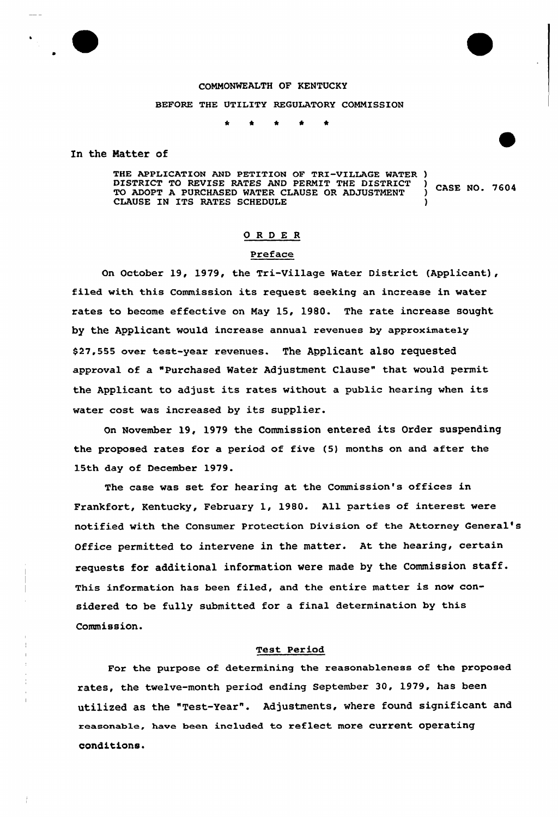

#### COMMONWEALTH OF KENTUCKY

#### BEFORE THE UTILITY REGULATORY COMMISSION

In the Matter of

THE APPLICATION AND PETITION OF TRI-VILLAGE WATER )<br>DISTRICT TO REVISE RATES AND PERMIT THE DISTRICT ) DISTRICT TO REVISE RATES AND PERMIT THE DISTRICT | CASE NO. 7604<br>TO ADOPT A PURCHASED WATER CLAUSE OR ADJUSTMENT | CASE NO. 7604 CLAUSE IN ITS RATES SCHEDULE

### ORDER

## Preface

On October 19, 1979, the Tri-Village Water District (Applicant), filed with this Commission its request seeking an increase in water rates to become effective on May 15, 1980. The rate increase sought by the Applicant would increase annual revenues by approximately \$27,555 over test-year revenues. The Applicant also requested approval of a "Purchased Water Adjustment Clause" that would permit the Applicant to adjust its rates without <sup>a</sup> public hearing when its water cost was increased by its supplier.

On November 19, 1979 the Commission entered its Order suspending the pxoposed rates for a period of five (5) months on and after the 15th day of December 1979.

The case was set for hearing at the Commission's offices in Frankfort, Kentucky, Febxuaxy 1, 1980. All parties of interest were notified with the Consumer Protection Division of the Attorney General' Office permitted to intervene in the matter. At the hearing, certain requests for additional information were made by the Commission staff. This information has been filed, and the entire matter is now considered to be fully submitted for a final determination by this Commission.

#### Test Period

For the purpose of determining the reasonableness of the proposed rates, the twelve-month period ending September 30, 1979, has been utilixed as the "Test-Year". Adjustments, where found significant and reasonable, have been included to reflect more current operating conditions.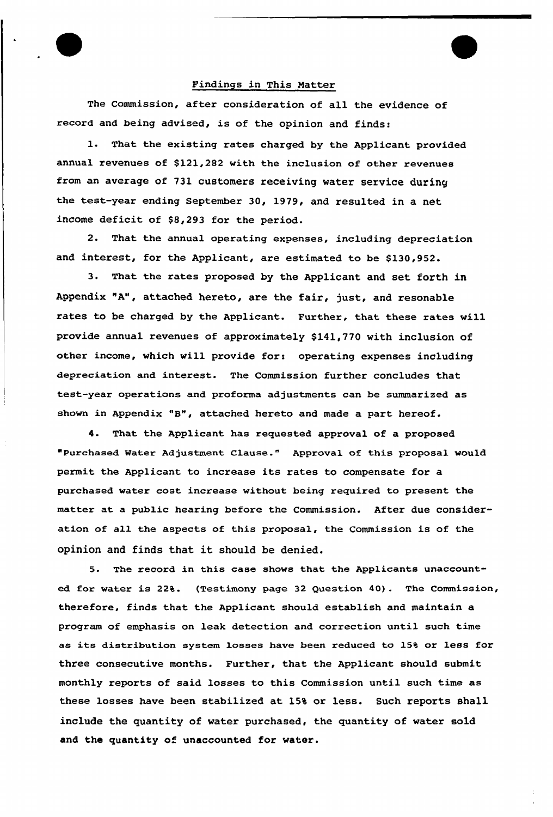### Findings in This Matter

The Commission, after consideration of all the evidence of record and being advised, is of the opinion and finds:

1. That the existing rates charged by the Applicant provided annual revenues of \$121,282 with the inclusion of other revenues from an average of 731 customers receiving water service during the test-yeax ending September 30, 1979, and resulted in a net income deficit of \$8,293 for the period.

2. That the annual operating expenses, including depreciation and interest, for the Applicant, are estimated to be \$130,952.

3. That the rates proposed by the Applicant and set forth in Appendix "A", attached hereto, are the fair, just, and resonable rates to be charged by the Applicant. Further, that these rates will provide annual revenues of approximately \$141,770 with inclusion of other income, which will provide for: operating expenses including depreciation and interest. The Commission fuxthex concludes that test-year operations and proforma adjustments can be summarized as shown in Appendix "8", attached hereto and made <sup>a</sup> part hereof.

4. That the Applicant has requested approval of a proposed "purchased Hater Adjustment clause." Approval of this proposal would permit the Applicant to increase its rates to compensate for a purchased water cost increase without being required to present the matter at a public hearing before the Commission. After due consideration of all the aspects of this proposal, the Commission is of the opinion and finds that it should be denied.

5. The record in this case shows that the Applicants unaccounted for water is 22%. (Testimony page 32 Question 40). The Commission, therefore, finds that the Applicant should establish and maintain a program of emphasis on leak detection and correction until such time as its distribution system losses have been reduced to 15% or less for three consecutive months. Further, that the Applicant should submit monthly reports of said losses to this Commission until such time as these losses have been stabiLized at 15% or less. Such reports shall include the quantity of water purchased, the quantity of water sold and the quantity of unaccounted for water.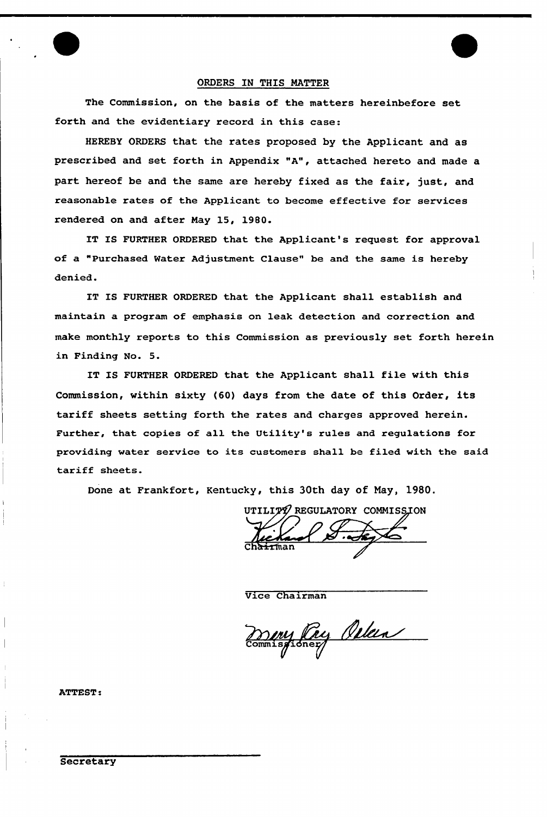#### ORDERS IN THIS MATTER

The Commission, on the basis of the matters hereinbefore set forth and the evidentiary record in this case:

HEREBY ORDERS that the rates proposed by the Applicant and as prescribed and set forth in Appendix "A", attached hereto and made a part hereof be and the same are hereby fixed as the fair, just, and reasonable rates of the Applicant to become effective for services rendered on and after May 15, 1980.

IT IS FURTHER ORDERED that the Applicant's request for approval of a "Purchased Water Adjustment Clause" be and the same is hereby denied.

IT IS FURTHER ORDERED that the Applicant shall establish and maintain a program of emphasis on leak detection and correction and make monthly reports to this Commission as previously set forth herein in Finding No. 5.

IT IS FURTHER ORDERED that the Applicant shall file with this Commission, within sixty (60) days from the date of this Order, its tariff sheets setting forth the rates and charges approved herein. Further, that copies of all the Utility's rules and regulations for providing water service to its customers shall be filed with the said tariff sheets.

Done at Frankfort, Kentucky, this 30th day of Nay, 1980.

UTILITY REGULATORY COMMISSION Ch<del>air</del>ma

Vice Chairman

my Pay Orlea

ATTEST: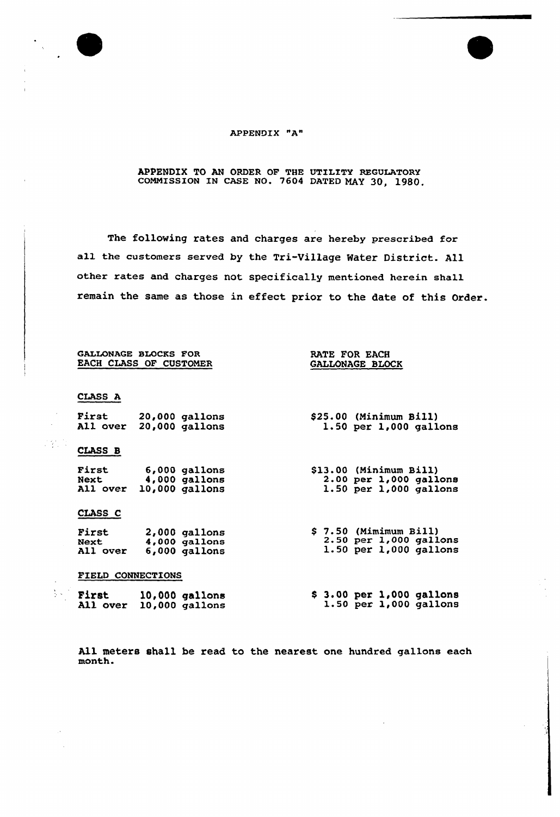

 $\frac{1}{2}$  ,  $\frac{1}{2}$  ,  $\frac{1}{2}$  ,  $\frac{1}{2}$ 

 $\sum_{i=1}^n \frac{1}{2}$ 

# APPENDIX "A"

## APPENDIX TO AN ORDER OF THE UTILITY REGULATORY coMMIssIoN IN cAGE No. 7604 DATED MAY 30, 1980.

The following rates and charges are hereby prescribed for all the customers served by the Tri-Village Mater District. All other rates and charges not specifically mentioned herein shall remain the same as those in effect prior to the date of this Order.

|                   | GALLONAGE BLOCKS FOR<br>EACH CLASS OF CUSTOMER                       | RATE FOR EACH<br>GALLONAGE BLOCK                                             |  |  |  |  |
|-------------------|----------------------------------------------------------------------|------------------------------------------------------------------------------|--|--|--|--|
| CLASS A           |                                                                      |                                                                              |  |  |  |  |
|                   | First 20,000 gallons<br>All over 20,000 gallons                      | \$25.00 (Minimum Bill)<br>$1.50$ per $1,000$ gallon                          |  |  |  |  |
| CLASS B           |                                                                      |                                                                              |  |  |  |  |
|                   | First 6,000 gallons<br>Next 4,000 gallons<br>All over 10,000 gallons | \$13.00 (Minimum Bill)<br>2.00 per 1,000 gallon<br>$1.50$ per $1,000$ gallon |  |  |  |  |
| CLASS C           |                                                                      |                                                                              |  |  |  |  |
|                   | First 2,000 gallons<br>Next 4,000 gallons<br>All over 6,000 gallons  | $$7.50$ (Mimimum Bill)<br>2.50 per 1,000 gallon<br>1.50 per 1,000 gallon     |  |  |  |  |
| FIELD CONNECTIONS |                                                                      |                                                                              |  |  |  |  |
|                   | First 10,000 gallons<br>All over 10,000 gallons                      | \$3.00~per~1,000~gallon<br>$1.50$ per $1,000$ gallon                         |  |  |  |  |

All meters shall be read to the nearest one hundred gallons each month.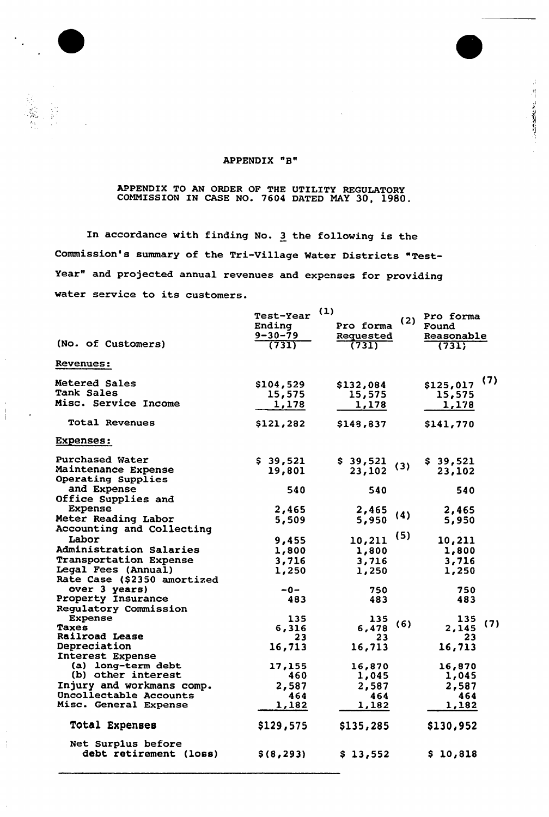## APPENDIX "B"

**CONTRACTOR** 

### APPENDIX TO AN ORDER OF THE UTILITY REGULATORY COMMISSION IN CASE NO. 7604 DATED NAY 30, 1980.

In accordance with finding No. <sup>3</sup> the following is the Commission's summary of the Tri-Village Water Districts "Test-Year" and projected annual revenues and expenses for providing water service to its customers.

| (No. of Customers)                                                                              | Test-Year<br>Ending<br>$9 - 30 - 79$<br>(731) | (1)<br>Pro forma<br>Requested<br>(731) | (2) | Pro forma<br>Found<br>Reasonable<br>(731) |     |
|-------------------------------------------------------------------------------------------------|-----------------------------------------------|----------------------------------------|-----|-------------------------------------------|-----|
| Revenues:                                                                                       |                                               |                                        |     |                                           |     |
| <b>Metered Sales</b><br><b>Tank Sales</b><br><b>Misc. Service Income</b>                        | \$104,529<br>15,575<br>1,178                  | \$132,084<br>15,575<br>1,178           |     | \$125,017<br>15,575<br>1,178              | (7) |
| Total Revenues                                                                                  | \$121,282                                     | \$148,837                              |     | \$141,770                                 |     |
| <b>Expenses:</b>                                                                                |                                               |                                        |     |                                           |     |
| <b>Purchased Water</b><br>Maintenance Expense<br>Operating Supplies<br>and Expense              | \$39,521<br>19,801<br>540                     | \$39,521<br>23,102<br>540              | (3) | \$39,521<br>23,102<br>540                 |     |
| Office Supplies and<br><b>Expense</b><br>Meter Reading Labor<br>Accounting and Collecting       | 2,465<br>5,509                                | 2,465<br>5,950                         | (4) | 2,465<br>5,950                            |     |
| Labor<br><b>Administration Salaries</b><br><b>Transportation Expense</b><br>Legal Fees (Annual) | 9,455<br>1,800<br>3,716<br>1,250              | 10,211<br>1,800<br>3,716<br>1,250      | (5) | 10,211<br>1,800<br>3,716<br>1,250         |     |
| Rate Case (\$2350 amortized<br>over 3 years)<br>Property Insurance<br>Regulatory Commission     | -0-<br>483                                    | 750<br>483                             |     | 750<br>483                                |     |
| Expense<br><b>Taxes</b><br>Railroad Lease<br>Depreciation<br>Interest Expense                   | 135<br>6,316<br>23<br>16,713                  | 135<br>6,478<br>23<br>16,713           | (6) | 135<br>2,145<br>23<br>16,713              | (7) |
| (a) long-term debt<br>(b) other interest<br>Injury and workmans comp.<br>Uncollectable Accounts | 17,155<br>460<br>2,587<br>464                 | 16,870<br>1,045<br>2,587<br>464        |     | 16,870<br>1,045<br>2,587<br>464           |     |
| Misc. General Expense<br><b>Total Expenses</b>                                                  | 1,182<br>\$129,575                            | 1,182<br>\$135,285                     |     | 1,182<br>\$130,952                        |     |
| Net Surplus before<br>debt retirement (loss)                                                    | \$ (8, 293)                                   | \$13,552                               |     | \$10,818                                  |     |

 $\bar{\beta}$  $\frac{1}{3}$